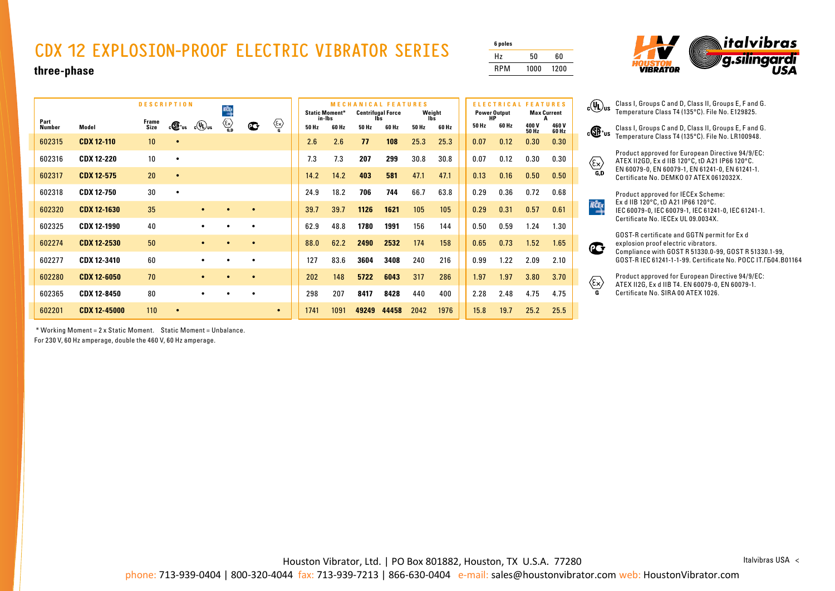## **CDX 12 EXPLOSION-PROOF ELECTRIC VIBRATOR SERIES**

| 6 poles    |      |      |
|------------|------|------|
| Hz         | 50   | 60   |
| <b>RPM</b> | 1000 | 1200 |



**three-phase**

|                       |                     | <b>DESCRIPTION</b> |           |                    | KÔ                                           |              |           | <b>Static Moment*</b><br>in-Ibs |       | <b>MECHANICAL FEATURES</b><br><b>Centrifugal Force</b> |       | Weight |       | <b>ELECTRICAL FEATURES</b><br><b>Power Output</b><br>HP |       | <b>Max Current</b> |                      |
|-----------------------|---------------------|--------------------|-----------|--------------------|----------------------------------------------|--------------|-----------|---------------------------------|-------|--------------------------------------------------------|-------|--------|-------|---------------------------------------------------------|-------|--------------------|----------------------|
| Part<br><b>Number</b> | Model               | Frame<br>Size      | c®™       | $c(\mathbf{U})$ us | $\langle \overline{\xi_{\mathsf{x}}}\rangle$ | $\mathbf{C}$ | ∕≅        | 50 Hz                           | 60 Hz | 50 Hz                                                  | 60 Hz | 50 Hz  | 60 Hz | 50 Hz                                                   | 60 Hz | 400V<br>50 Hz      | 460V<br><b>60 Hz</b> |
| 602315                | <b>CDX 12-110</b>   | 10                 | $\bullet$ |                    |                                              |              |           | 2.6                             | 2.6   | 77                                                     | 108   | 25.3   | 25.3  | 0.07                                                    | 0.12  | 0.30               | 0.30                 |
| 602316                | <b>CDX 12-220</b>   | 10                 | ٠         |                    |                                              |              |           | 7.3                             | 7.3   | 207                                                    | 299   | 30.8   | 30.8  | 0.07                                                    | 0.12  | 0.30               | 0.30                 |
| 602317                | <b>CDX 12-575</b>   | 20                 | $\bullet$ |                    |                                              |              |           | 14.2                            | 14.2  | 403                                                    | 581   | 47.1   | 47.1  | 0.13                                                    | 0.16  | 0.50               | 0.50                 |
| 602318                | <b>CDX 12-750</b>   | 30                 | $\bullet$ |                    |                                              |              |           | 24.9                            | 18.2  | 706                                                    | 744   | 66.7   | 63.8  | 0.29                                                    | 0.36  | 0.72               | 0.68                 |
| 602320                | <b>CDX 12-1630</b>  | 35                 |           | $\bullet$          |                                              | $\bullet$    |           | 39.7                            | 39.7  | 1126                                                   | 1621  | 105    | 105   | 0.29                                                    | 0.31  | 0.57               | 0.61                 |
| 602325                | <b>CDX 12-1990</b>  | 40                 |           | $\bullet$          |                                              | ٠            |           | 62.9                            | 48.8  | 1780                                                   | 1991  | 156    | 144   | 0.50                                                    | 0.59  | 1.24               | 1.30                 |
| 602274                | <b>CDX 12-2530</b>  | 50                 |           | $\bullet$          |                                              | ٠            |           | 88.0                            | 62.2  | 2490                                                   | 2532  | 174    | 158   | 0.65                                                    | 0.73  | 1.52               | 1.65                 |
| 602277                | <b>CDX 12-3410</b>  | 60                 |           | ٠                  |                                              | $\bullet$    |           | 127                             | 83.6  | 3604                                                   | 3408  | 240    | 216   | 0.99                                                    | 1.22  | 2.09               | 2.10                 |
| 602280                | <b>CDX 12-6050</b>  | 70                 |           | $\bullet$          |                                              | $\bullet$    |           | 202                             | 148   | 5722                                                   | 6043  | 317    | 286   | 1.97                                                    | 1.97  | 3.80               | 3.70                 |
| 602365                | <b>CDX 12-8450</b>  | 80                 |           | $\bullet$          |                                              | ٠            |           | 298                             | 207   | 8417                                                   | 8428  | 440    | 400   | 2.28                                                    | 2.48  | 4.75               | 4.75                 |
| 602201                | <b>CDX 12-45000</b> | 110                | $\bullet$ |                    |                                              |              | $\bullet$ | 1741                            | 1091  | 49249                                                  | 44458 | 2042   | 1976  | 15.8                                                    | 19.7  | 25.2               | 25.5                 |

 \* Working Moment = 2 x Static Moment. Static Moment = Unbalance. For 230 V, 60 Hz amperage, double the 460 V, 60 Hz amperage.

 $_{\rm c}$ (U<sub>U)us</sub> Class I, Groups C and D, Class II, Groups E, F and G. Temperature Class T4 (135°C). File No. E129825.

> Class I, Groups C and D, Class II, Groups E, F and G. Temperature Class T4 (135°C). File No. LR100948.



**IEČEX** 

Product approved for European Directive 94/9/EC: ATEX II2GD, Ex d IIB 120°C, tD A21 IP66 120°C. EN 60079-0, EN 60079-1, EN 61241-0, EN 61241-1. Certificate No. DEMKO 07 ATEX 0612032X.

Product approved for IECEx Scheme: Ex d IIB 120°C, tD A21 IP66 120°C. IEC 60079-0, IEC 60079-1, IEC 61241-0, IEC 61241-1. Certificate No. IECEx UL 09.0034X.

GOST-R certificate and GGTN permit for Ex d explosion proof electric vibrators. Compliance with GOST R 51330.0-99, GOST R 51330.1-99, GOST-R IEC 61241-1-1-99. Certificate No. POCC IT.ГБ04.B01164

Product approved for European Directive 94/9/EC:  $\langle \overline{\epsilon_{\mathsf{x}}} \rangle$ ATEX II2G, Ex d IIB T4. EN 60079-0, EN 60079-1. Certificate No. SIRA 00 ATEX 1026.